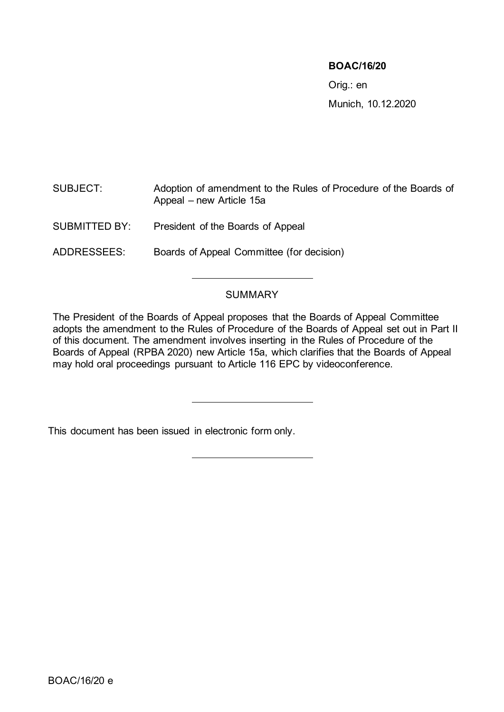#### **BOAC/16/20**

Orig.: en Munich, 10.12.2020

SUBJECT: Adoption of amendment to the Rules of Procedure of the Boards of Appeal – new Article 15a

SUBMITTED BY: President of the Boards of Appeal

ADDRESSEES: Boards of Appeal Committee (for decision)

#### SUMMARY

The President of the Boards of Appeal proposes that the Boards of Appeal Committee adopts the amendment to the Rules of Procedure of the Boards of Appeal set out in Part II of this document. The amendment involves inserting in the Rules of Procedure of the Boards of Appeal (RPBA 2020) new Article 15a, which clarifies that the Boards of Appeal may hold oral proceedings pursuant to Article 116 EPC by videoconference.

This document has been issued in electronic form only.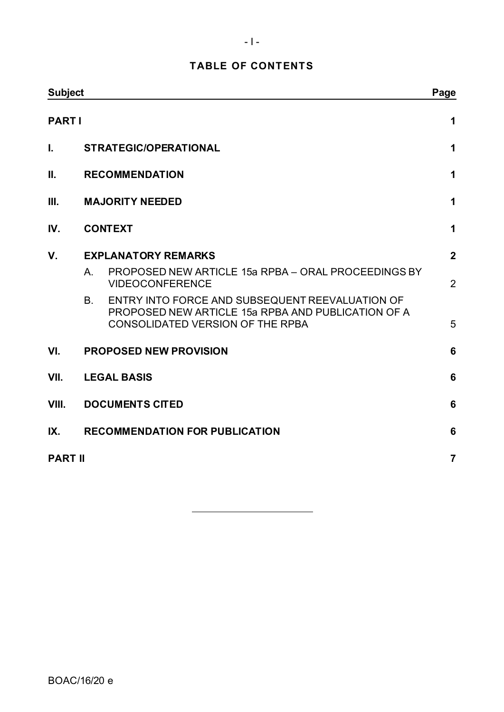# **TABLE OF CONTENTS**

| <b>Subject</b> |                                                                                                                                                               | Page           |
|----------------|---------------------------------------------------------------------------------------------------------------------------------------------------------------|----------------|
| <b>PARTI</b>   |                                                                                                                                                               | 1              |
| I.             | <b>STRATEGIC/OPERATIONAL</b>                                                                                                                                  | 1              |
| Ш.             | <b>RECOMMENDATION</b>                                                                                                                                         | 1              |
| III.           | <b>MAJORITY NEEDED</b>                                                                                                                                        | 1              |
| IV.            | <b>CONTEXT</b>                                                                                                                                                | 1              |
| $V_{\cdot}$    | <b>EXPLANATORY REMARKS</b>                                                                                                                                    | $\overline{2}$ |
|                | PROPOSED NEW ARTICLE 15a RPBA - ORAL PROCEEDINGS BY<br>A.<br><b>VIDEOCONFERENCE</b>                                                                           | $\overline{2}$ |
|                | ENTRY INTO FORCE AND SUBSEQUENT REEVALUATION OF<br><b>B.</b><br>PROPOSED NEW ARTICLE 15a RPBA AND PUBLICATION OF A<br><b>CONSOLIDATED VERSION OF THE RPBA</b> | 5              |
| VI.            | <b>PROPOSED NEW PROVISION</b>                                                                                                                                 | 6              |
| VII.           | <b>LEGAL BASIS</b>                                                                                                                                            | 6              |
| VIII.          | <b>DOCUMENTS CITED</b>                                                                                                                                        | 6              |
| IX.            | <b>RECOMMENDATION FOR PUBLICATION</b>                                                                                                                         | 6              |
| <b>PART II</b> |                                                                                                                                                               | $\overline{7}$ |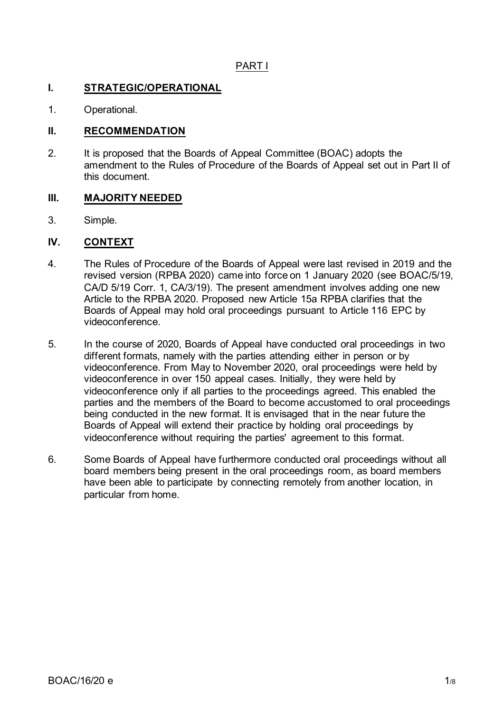### PART I

#### <span id="page-2-1"></span><span id="page-2-0"></span>**I. STRATEGIC/OPERATIONAL**

1. Operational.

#### <span id="page-2-2"></span>**II. RECOMMENDATION**

2. It is proposed that the Boards of Appeal Committee (BOAC) adopts the amendment to the Rules of Procedure of the Boards of Appeal set out in Part II of this document.

#### <span id="page-2-3"></span>**III. MAJORITY NEEDED**

3. Simple.

#### <span id="page-2-4"></span>**IV. CONTEXT**

- 4. The Rules of Procedure of the Boards of Appeal were last revised in 2019 and the revised version (RPBA 2020) came into force on 1 January 2020 (see BOAC/5/19, CA/D 5/19 Corr. 1, CA/3/19). The present amendment involves adding one new Article to the RPBA 2020. Proposed new Article 15a RPBA clarifies that the Boards of Appeal may hold oral proceedings pursuant to Article 116 EPC by videoconference.
- 5. In the course of 2020, Boards of Appeal have conducted oral proceedings in two different formats, namely with the parties attending either in person or by videoconference. From May to November 2020, oral proceedings were held by videoconference in over 150 appeal cases. Initially, they were held by videoconference only if all parties to the proceedings agreed. This enabled the parties and the members of the Board to become accustomed to oral proceedings being conducted in the new format. It is envisaged that in the near future the Boards of Appeal will extend their practice by holding oral proceedings by videoconference without requiring the parties' agreement to this format.
- 6. Some Boards of Appeal have furthermore conducted oral proceedings without all board members being present in the oral proceedings room, as board members have been able to participate by connecting remotely from another location, in particular from home.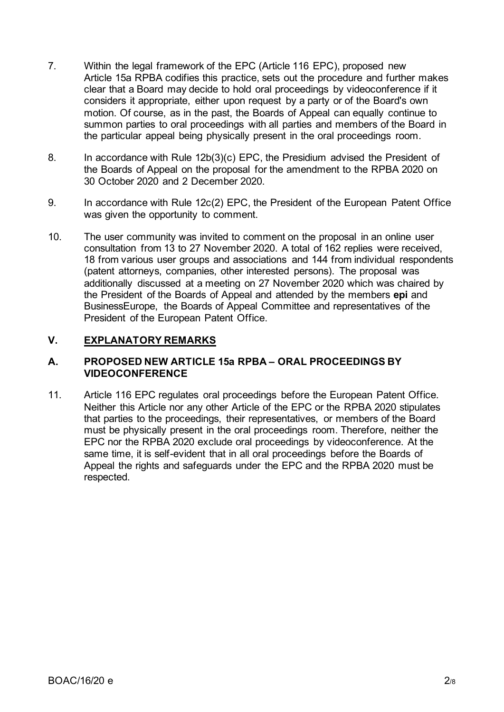- 7. Within the legal framework of the EPC (Article 116 EPC), proposed new Article 15a RPBA codifies this practice, sets out the procedure and further makes clear that a Board may decide to hold oral proceedings by videoconference if it considers it appropriate, either upon request by a party or of the Board's own motion. Of course, as in the past, the Boards of Appeal can equally continue to summon parties to oral proceedings with all parties and members of the Board in the particular appeal being physically present in the oral proceedings room.
- 8. In accordance with Rule 12b(3)(c) EPC, the Presidium advised the President of the Boards of Appeal on the proposal for the amendment to the RPBA 2020 on 30 October 2020 and 2 December 2020.
- 9. In accordance with Rule 12c(2) EPC, the President of the European Patent Office was given the opportunity to comment.
- 10. The user community was invited to comment on the proposal in an online user consultation from 13 to 27 November 2020. A total of 162 replies were received, 18 from various user groups and associations and 144 from individual respondents (patent attorneys, companies, other interested persons). The proposal was additionally discussed at a meeting on 27 November 2020 which was chaired by the President of the Boards of Appeal and attended by the members **epi** and BusinessEurope, the Boards of Appeal Committee and representatives of the President of the European Patent Office.

### <span id="page-3-0"></span>**V. EXPLANATORY REMARKS**

#### <span id="page-3-1"></span>**A. PROPOSED NEW ARTICLE 15a RPBA – ORAL PROCEEDINGS BY VIDEOCONFERENCE**

11. Article 116 EPC regulates oral proceedings before the European Patent Office. Neither this Article nor any other Article of the EPC or the RPBA 2020 stipulates that parties to the proceedings, their representatives, or members of the Board must be physically present in the oral proceedings room. Therefore, neither the EPC nor the RPBA 2020 exclude oral proceedings by videoconference. At the same time, it is self-evident that in all oral proceedings before the Boards of Appeal the rights and safeguards under the EPC and the RPBA 2020 must be respected.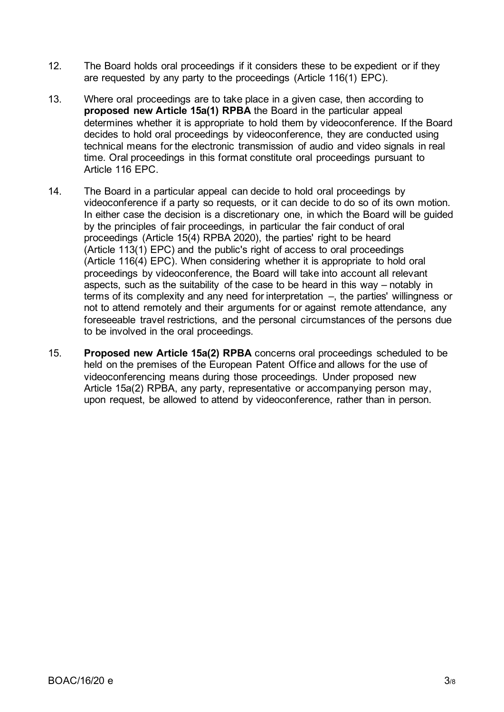- 12. The Board holds oral proceedings if it considers these to be expedient or if they are requested by any party to the proceedings (Article 116(1) EPC).
- 13. Where oral proceedings are to take place in a given case, then according to **proposed new Article 15a(1) RPBA** the Board in the particular appeal determines whether it is appropriate to hold them by videoconference. If the Board decides to hold oral proceedings by videoconference, they are conducted using technical means for the electronic transmission of audio and video signals in real time. Oral proceedings in this format constitute oral proceedings pursuant to Article 116 EPC.
- 14. The Board in a particular appeal can decide to hold oral proceedings by videoconference if a party so requests, or it can decide to do so of its own motion. In either case the decision is a discretionary one, in which the Board will be guided by the principles of fair proceedings, in particular the fair conduct of oral proceedings (Article 15(4) RPBA 2020), the parties' right to be heard (Article 113(1) EPC) and the public's right of access to oral proceedings (Article 116(4) EPC). When considering whether it is appropriate to hold oral proceedings by videoconference, the Board will take into account all relevant aspects, such as the suitability of the case to be heard in this way – notably in terms of its complexity and any need for interpretation –, the parties' willingness or not to attend remotely and their arguments for or against remote attendance, any foreseeable travel restrictions, and the personal circumstances of the persons due to be involved in the oral proceedings.
- 15. **Proposed new Article 15a(2) RPBA** concerns oral proceedings scheduled to be held on the premises of the European Patent Office and allows for the use of videoconferencing means during those proceedings. Under proposed new Article 15a(2) RPBA, any party, representative or accompanying person may, upon request, be allowed to attend by videoconference, rather than in person.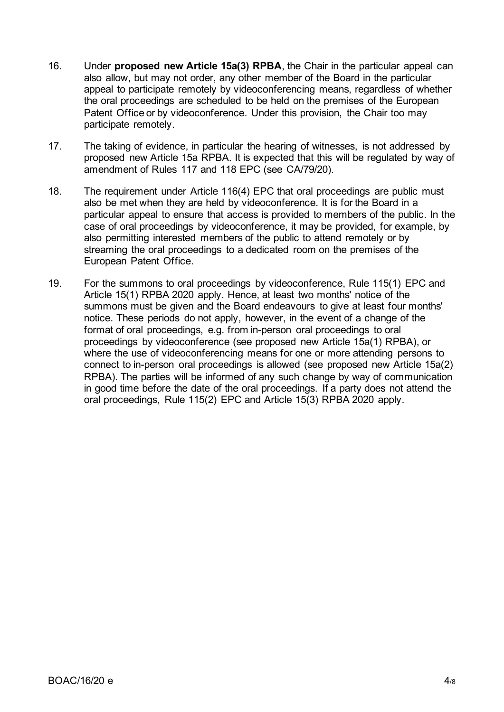- 16. Under **proposed new Article 15a(3) RPBA**, the Chair in the particular appeal can also allow, but may not order, any other member of the Board in the particular appeal to participate remotely by videoconferencing means, regardless of whether the oral proceedings are scheduled to be held on the premises of the European Patent Office or by videoconference. Under this provision, the Chair too may participate remotely.
- 17. The taking of evidence, in particular the hearing of witnesses, is not addressed by proposed new Article 15a RPBA. It is expected that this will be regulated by way of amendment of Rules 117 and 118 EPC (see CA/79/20).
- 18. The requirement under Article 116(4) EPC that oral proceedings are public must also be met when they are held by videoconference. It is for the Board in a particular appeal to ensure that access is provided to members of the public. In the case of oral proceedings by videoconference, it may be provided, for example, by also permitting interested members of the public to attend remotely or by streaming the oral proceedings to a dedicated room on the premises of the European Patent Office.
- 19. For the summons to oral proceedings by videoconference, Rule 115(1) EPC and Article 15(1) RPBA 2020 apply. Hence, at least two months' notice of the summons must be given and the Board endeavours to give at least four months' notice. These periods do not apply, however, in the event of a change of the format of oral proceedings, e.g. from in-person oral proceedings to oral proceedings by videoconference (see proposed new Article 15a(1) RPBA), or where the use of videoconferencing means for one or more attending persons to connect to in-person oral proceedings is allowed (see proposed new Article 15a(2) RPBA). The parties will be informed of any such change by way of communication in good time before the date of the oral proceedings. If a party does not attend the oral proceedings, Rule 115(2) EPC and Article 15(3) RPBA 2020 apply.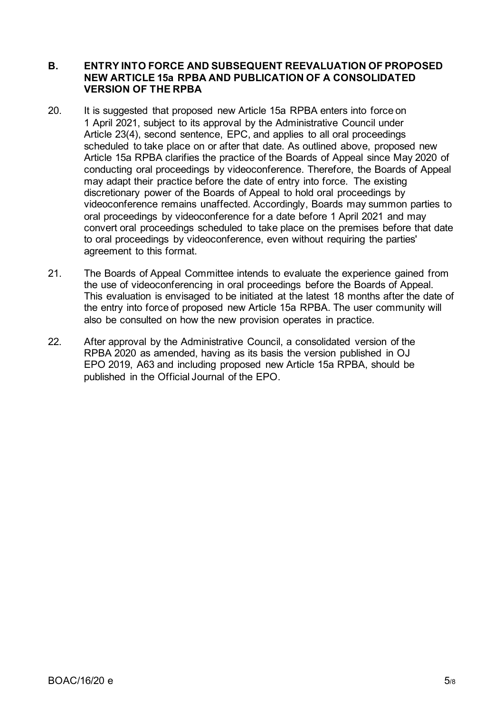#### <span id="page-6-0"></span>**B. ENTRY INTO FORCE AND SUBSEQUENT REEVALUATION OF PROPOSED NEW ARTICLE 15a RPBA AND PUBLICATION OF A CONSOLIDATED VERSION OF THE RPBA**

- 20. It is suggested that proposed new Article 15a RPBA enters into force on 1 April 2021, subject to its approval by the Administrative Council under Article 23(4), second sentence, EPC, and applies to all oral proceedings scheduled to take place on or after that date. As outlined above, proposed new Article 15a RPBA clarifies the practice of the Boards of Appeal since May 2020 of conducting oral proceedings by videoconference. Therefore, the Boards of Appeal may adapt their practice before the date of entry into force. The existing discretionary power of the Boards of Appeal to hold oral proceedings by videoconference remains unaffected. Accordingly, Boards may summon parties to oral proceedings by videoconference for a date before 1 April 2021 and may convert oral proceedings scheduled to take place on the premises before that date to oral proceedings by videoconference, even without requiring the parties' agreement to this format.
- 21. The Boards of Appeal Committee intends to evaluate the experience gained from the use of videoconferencing in oral proceedings before the Boards of Appeal. This evaluation is envisaged to be initiated at the latest 18 months after the date of the entry into force of proposed new Article 15a RPBA. The user community will also be consulted on how the new provision operates in practice.
- 22. After approval by the Administrative Council, a consolidated version of the RPBA 2020 as amended, having as its basis the version published in OJ EPO 2019, A63 and including proposed new Article 15a RPBA, should be published in the Official Journal of the EPO.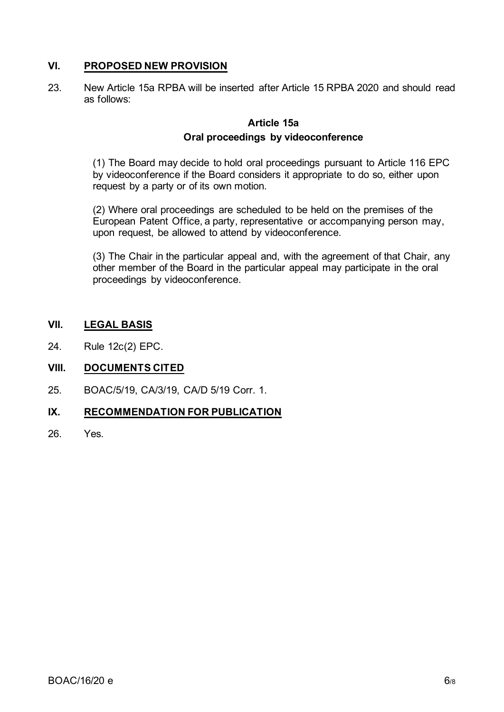### <span id="page-7-0"></span>**VI. PROPOSED NEW PROVISION**

23. New Article 15a RPBA will be inserted after Article 15 RPBA 2020 and should read as follows:

### **Article 15a Oral proceedings by videoconference**

(1) The Board may decide to hold oral proceedings pursuant to Article 116 EPC by videoconference if the Board considers it appropriate to do so, either upon request by a party or of its own motion.

(2) Where oral proceedings are scheduled to be held on the premises of the European Patent Office, a party, representative or accompanying person may, upon request, be allowed to attend by videoconference.

(3) The Chair in the particular appeal and, with the agreement of that Chair, any other member of the Board in the particular appeal may participate in the oral proceedings by videoconference.

#### <span id="page-7-1"></span>**VII. LEGAL BASIS**

24. Rule 12c(2) EPC.

#### <span id="page-7-2"></span>**VIII. DOCUMENTS CITED**

25. BOAC/5/19, CA/3/19, CA/D 5/19 Corr. 1.

#### <span id="page-7-3"></span>**IX. RECOMMENDATION FOR PUBLICATION**

26. Yes.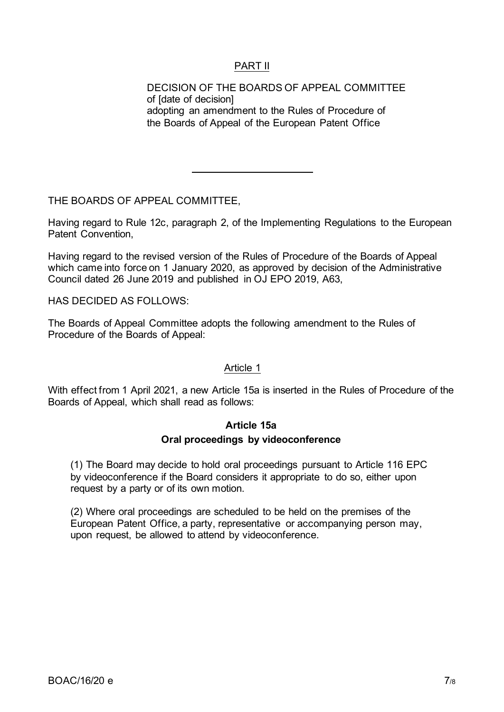### PART II

<span id="page-8-0"></span>DECISION OF THE BOARDS OF APPEAL COMMITTEE of [date of decision] adopting an amendment to the Rules of Procedure of the Boards of Appeal of the European Patent Office

THE BOARDS OF APPEAL COMMITTEE,

Having regard to Rule 12c, paragraph 2, of the Implementing Regulations to the European Patent Convention,

Having regard to the revised version of the Rules of Procedure of the Boards of Appeal which came into force on 1 January 2020, as approved by decision of the Administrative Council dated 26 June 2019 and published in OJ EPO 2019, A63,

HAS DECIDED AS FOLLOWS:

The Boards of Appeal Committee adopts the following amendment to the Rules of Procedure of the Boards of Appeal:

#### Article 1

With effect from 1 April 2021, a new Article 15a is inserted in the Rules of Procedure of the Boards of Appeal, which shall read as follows:

## **Article 15a Oral proceedings by videoconference**

(1) The Board may decide to hold oral proceedings pursuant to Article 116 EPC by videoconference if the Board considers it appropriate to do so, either upon request by a party or of its own motion.

(2) Where oral proceedings are scheduled to be held on the premises of the European Patent Office, a party, representative or accompanying person may, upon request, be allowed to attend by videoconference.